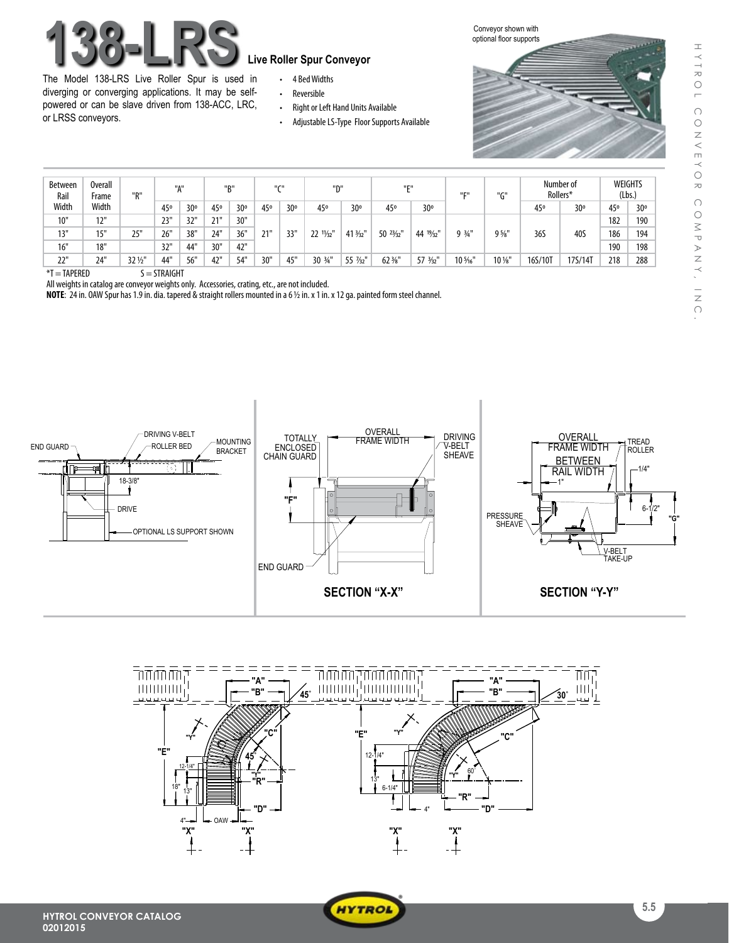# **138-LRS Live Roller Spur Conveyor**

The Model 138-LRS Live Roller Spur is used in diverging or converging applications. It may be selfpowered or can be slave driven from 138-ACC, LRC, or LRSS conveyors.

- • 4 BedWidths
- • Reversible
- Right or Left Hand Units Available
- Adjustable LS-Type Floor Supports Available

Conveyor shown with optional floor supports



| <b>Between</b><br>Rail<br>Width | <b>Overall</b><br>Frame<br>Width | יימיי   | "А"             |     | "B"             |     | $II$ $CII$      |                 | "D"                 |                     | <b>HEH</b>        |          | <b>HEH</b> | "G"              | Number of<br>Rollers* |         | <b>WEIGHTS</b><br>(Lbs.) |     |
|---------------------------------|----------------------------------|---------|-----------------|-----|-----------------|-----|-----------------|-----------------|---------------------|---------------------|-------------------|----------|------------|------------------|-----------------------|---------|--------------------------|-----|
|                                 |                                  |         | 45 <sup>o</sup> | 30° | 45 <sup>o</sup> | 30° | 45 <sup>o</sup> | 30 <sup>o</sup> | 45°                 | 30°                 | 45 <sup>o</sup>   | 30°      |            |                  | 45 <sup>o</sup>       | 30°     | 45 <sup>o</sup>          | 30° |
| 10"                             | 12"                              |         | 23"             | 32" | 21"             | 30" |                 |                 |                     |                     |                   |          |            |                  |                       |         | 182                      | 190 |
| 13"                             | 15"                              | 25"     | 26"             | 38" | 24"             | 36" | 21"             | 33"             | 22 $\frac{1}{32}$ " | 41 3/32"            | $50^{23}/_{32}$ " | 44 1%2   | $9.3/1$ "  | $9\frac{5}{8}$ " | 36S                   | 40S     | 186                      | 194 |
| 16"                             | 18"                              |         | 32'             | 44" | 30"             | 42" |                 |                 |                     |                     |                   |          |            |                  |                       |         | 190                      | 198 |
| 22"                             | 24"                              | 32 1/2" | 44"             | 56" | 42"             | 54" | 30"             | 45"             | 30 3/4"             | 55 $\frac{7}{32}$ " | $62\frac{3}{8}$   | 57 3/32" | 10 %"      | $10\,\mathrm{W}$ | 16S/10T               | 17S/14T | 218                      | 288 |

 $*T = TAPERED$   $S = STRAIGHT$ 

All weights in catalog are conveyor weights only. Accessories, crating, etc., are not included.

**NOTE:** 24 in. OAW Spur has 1.9 in. dia. tapered & straight rollers mounted in a 6 1/2 in. x 1 in. x 12 ga. painted form steel channel.